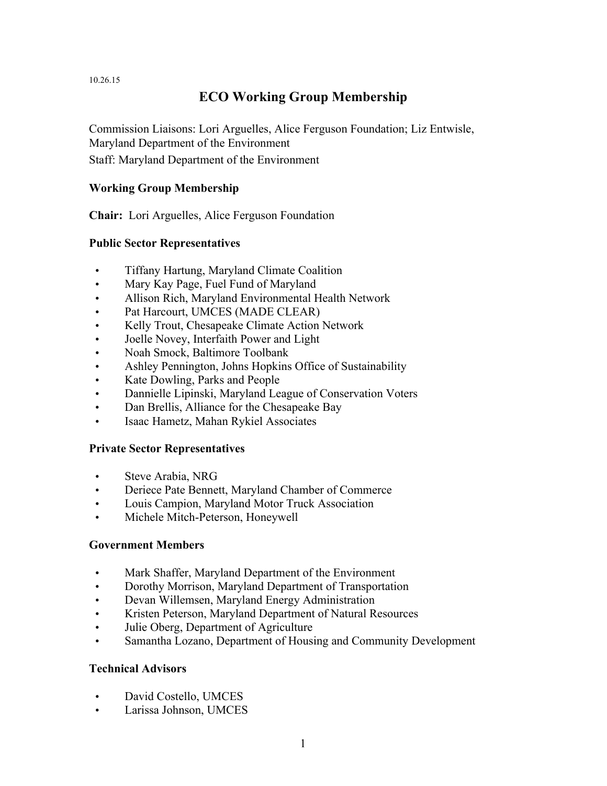10.26.15

# **ECO Working Group Membership**

Commission Liaisons: Lori Arguelles, Alice Ferguson Foundation; Liz Entwisle, Maryland Department of the Environment

Staff: Maryland Department of the Environment

## **Working Group Membership**

**Chair:** Lori Arguelles, Alice Ferguson Foundation

### **Public Sector Representatives**

- Tiffany Hartung, Maryland Climate Coalition
- Mary Kay Page, Fuel Fund of Maryland
- Allison Rich, Maryland Environmental Health Network
- Pat Harcourt, UMCES (MADE CLEAR)
- Kelly Trout, Chesapeake Climate Action Network
- Joelle Novey, Interfaith Power and Light
- Noah Smock, Baltimore Toolbank
- Ashley Pennington, Johns Hopkins Office of Sustainability
- Kate Dowling, Parks and People
- Dannielle Lipinski, Maryland League of Conservation Voters
- Dan Brellis, Alliance for the Chesapeake Bay
- Isaac Hametz, Mahan Rykiel Associates

### **Private Sector Representatives**

- Steve Arabia, NRG
- Deriece Pate Bennett, Maryland Chamber of Commerce
- Louis Campion, Maryland Motor Truck Association
- Michele Mitch-Peterson, Honeywell

### **Government Members**

- Mark Shaffer, Maryland Department of the Environment
- Dorothy Morrison, Maryland Department of Transportation
- Devan Willemsen, Maryland Energy Administration
- Kristen Peterson, Maryland Department of Natural Resources
- Julie Oberg, Department of Agriculture
- Samantha Lozano, Department of Housing and Community Development

### **Technical Advisors**

- David Costello, UMCES
- Larissa Johnson, UMCES